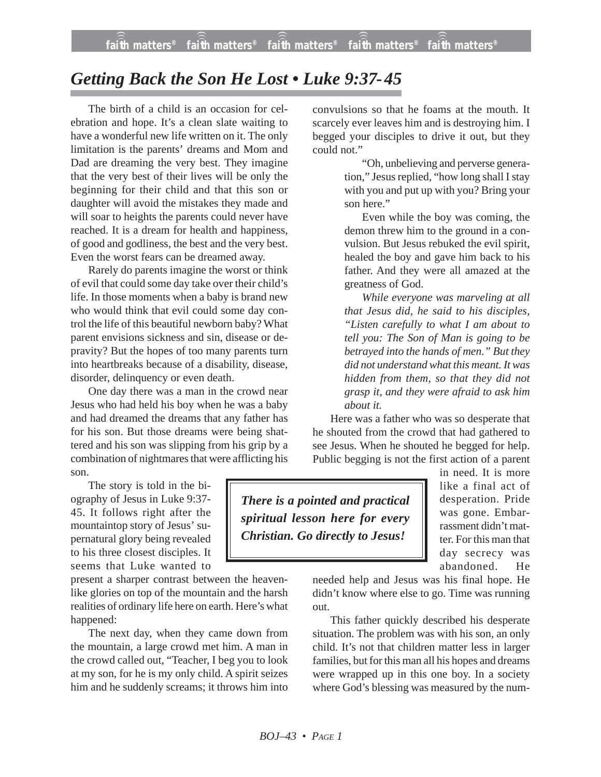**faith matters® faith matters® faith matters® faith matters® faith matters®** ))) ))) faith matters<sup>®</sup> faith matters<sup>®</sup> faith matters<sup>®</sup>

## *Getting Back the Son He Lost • Luke 9:37-45*

The birth of a child is an occasion for celebration and hope. It's a clean slate waiting to have a wonderful new life written on it. The only limitation is the parents' dreams and Mom and Dad are dreaming the very best. They imagine that the very best of their lives will be only the beginning for their child and that this son or daughter will avoid the mistakes they made and will soar to heights the parents could never have reached. It is a dream for health and happiness, of good and godliness, the best and the very best. Even the worst fears can be dreamed away.

Rarely do parents imagine the worst or think of evil that could some day take over their child's life. In those moments when a baby is brand new who would think that evil could some day control the life of this beautiful newborn baby? What parent envisions sickness and sin, disease or depravity? But the hopes of too many parents turn into heartbreaks because of a disability, disease, disorder, delinquency or even death.

One day there was a man in the crowd near Jesus who had held his boy when he was a baby and had dreamed the dreams that any father has for his son. But those dreams were being shattered and his son was slipping from his grip by a combination of nightmares that were afflicting his son.

The story is told in the biography of Jesus in Luke 9:37- 45. It follows right after the mountaintop story of Jesus' supernatural glory being revealed to his three closest disciples. It seems that Luke wanted to

present a sharper contrast between the heavenlike glories on top of the mountain and the harsh realities of ordinary life here on earth. Here's what happened:

The next day, when they came down from the mountain, a large crowd met him. A man in the crowd called out, "Teacher, I beg you to look at my son, for he is my only child. A spirit seizes him and he suddenly screams; it throws him into convulsions so that he foams at the mouth. It scarcely ever leaves him and is destroying him. I begged your disciples to drive it out, but they could not.'

> "Oh, unbelieving and perverse generation," Jesus replied, "how long shall I stay with you and put up with you? Bring your son here."

> Even while the boy was coming, the demon threw him to the ground in a convulsion. But Jesus rebuked the evil spirit, healed the boy and gave him back to his father. And they were all amazed at the greatness of God.

> *While everyone was marveling at all that Jesus did, he said to his disciples, "Listen carefully to what I am about to tell you: The Son of Man is going to be betrayed into the hands of men." But they did not understand what this meant. It was hidden from them, so that they did not grasp it, and they were afraid to ask him about it.*

Here was a father who was so desperate that he shouted from the crowd that had gathered to see Jesus. When he shouted he begged for help. Public begging is not the first action of a parent

*There is a pointed and practical spiritual lesson here for every Christian. Go directly to Jesus!*

in need. It is more like a final act of desperation. Pride was gone. Embarrassment didn't matter. For this man that day secrecy was abandoned. He

needed help and Jesus was his final hope. He didn't know where else to go. Time was running out.

This father quickly described his desperate situation. The problem was with his son, an only child. It's not that children matter less in larger families, but for this man all his hopes and dreams were wrapped up in this one boy. In a society where God's blessing was measured by the num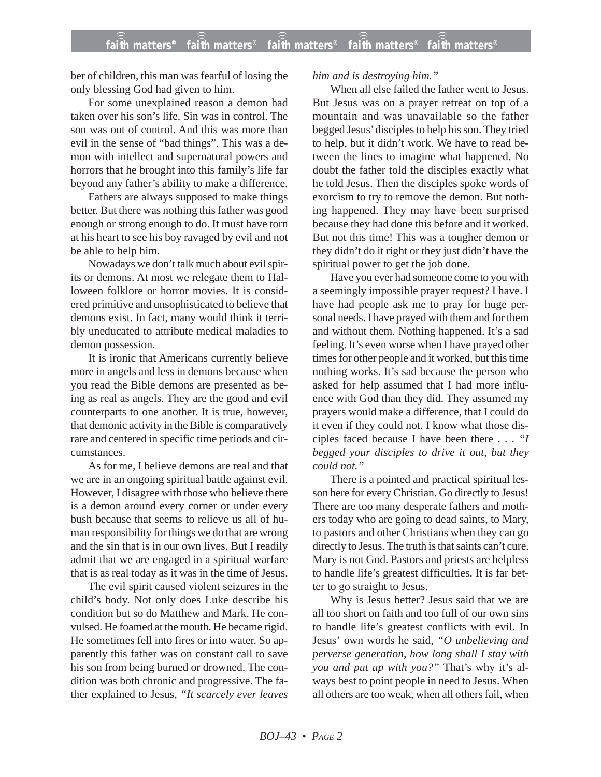ber of children, this man was fearful of losing the only blessing God had given to him.

For some unexplained reason a demon had taken over his son's life. Sin was in control. The son was out of control. And this was more than evil in the sense of "bad things". This was a demon with intellect and supernatural powers and horrors that he brought into this family's life far beyond any father's ability to make a difference.

Fathers are always supposed to make things better. But there was nothing this father was good enough or strong enough to do. It must have torn at his heart to see his boy ravaged by evil and not be able to help him.

Nowadays we don't talk much about evil spirits or demons. At most we relegate them to Halloween folklore or horror movies. It is considered primitive and unsophisticated to believe that demons exist. In fact, many would think it terribly uneducated to attribute medical maladies to demon possession.

It is ironic that Americans currently believe more in angels and less in demons because when you read the Bible demons are presented as being as real as angels. They are the good and evil counterparts to one another. It is true, however, that demonic activity in the Bible is comparatively rare and centered in specific time periods and circumstances.

As for me, I believe demons are real and that we are in an ongoing spiritual battle against evil. However, I disagree with those who believe there is a demon around every corner or under every bush because that seems to relieve us all of human responsibility for things we do that are wrong and the sin that is in our own lives. But I readily admit that we are engaged in a spiritual warfare that is as real today as it was in the time of Jesus.

The evil spirit caused violent seizures in the child's body. Not only does Luke describe his condition but so do Matthew and Mark. He convulsed. He foamed at the mouth. He became rigid. He sometimes fell into fires or into water. So apparently this father was on constant call to save his son from being burned or drowned. The condition was both chronic and progressive. The father explained to Jesus, *"It scarcely ever leaves*

## *him and is destroying him."*

When all else failed the father went to Jesus. But Jesus was on a prayer retreat on top of a mountain and was unavailable so the father begged Jesus' disciples to help his son. They tried to help, but it didn't work. We have to read between the lines to imagine what happened. No doubt the father told the disciples exactly what he told Jesus. Then the disciples spoke words of exorcism to try to remove the demon. But nothing happened. They may have been surprised because they had done this before and it worked. But not this time! This was a tougher demon or they didn't do it right or they just didn't have the spiritual power to get the job done.

Have you ever had someone come to you with a seemingly impossible prayer request? I have. I have had people ask me to pray for huge personal needs. I have prayed with them and for them and without them. Nothing happened. It's a sad feeling. It's even worse when I have prayed other times for other people and it worked, but this time nothing works. It's sad because the person who asked for help assumed that I had more influence with God than they did. They assumed my prayers would make a difference, that I could do it even if they could not. I know what those disciples faced because I have been there . . . *"I begged your disciples to drive it out, but they could not."*

There is a pointed and practical spiritual lesson here for every Christian. Go directly to Jesus! There are too many desperate fathers and mothers today who are going to dead saints, to Mary, to pastors and other Christians when they can go directly to Jesus. The truth is that saints can't cure. Mary is not God. Pastors and priests are helpless to handle life's greatest difficulties. It is far better to go straight to Jesus.

Why is Jesus better? Jesus said that we are all too short on faith and too full of our own sins to handle life's greatest conflicts with evil. In Jesus' own words he said, *"O unbelieving and perverse generation, how long shall I stay with you and put up with you?"* That's why it's always best to point people in need to Jesus. When all others are too weak, when all others fail, when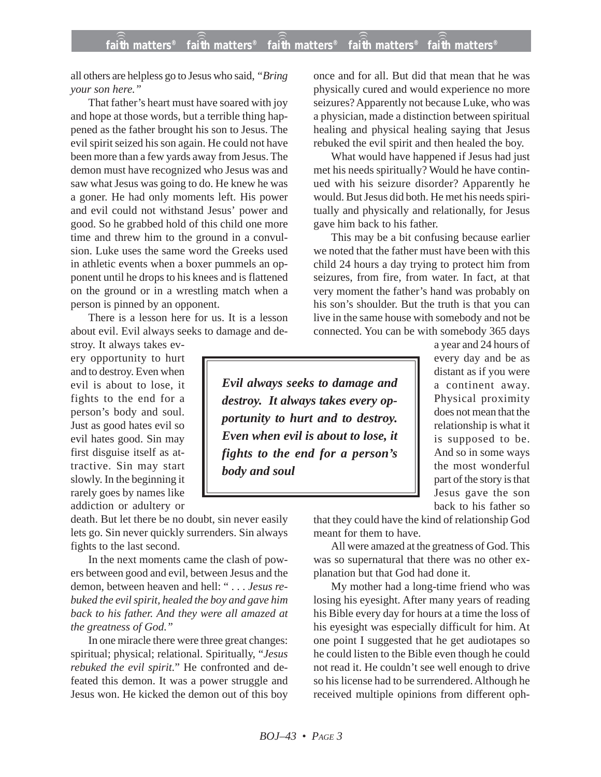all others are helpless go to Jesus who said, *"Bring your son here."*

That father's heart must have soared with joy and hope at those words, but a terrible thing happened as the father brought his son to Jesus. The evil spirit seized his son again. He could not have been more than a few yards away from Jesus. The demon must have recognized who Jesus was and saw what Jesus was going to do. He knew he was a goner. He had only moments left. His power and evil could not withstand Jesus' power and good. So he grabbed hold of this child one more time and threw him to the ground in a convulsion. Luke uses the same word the Greeks used in athletic events when a boxer pummels an opponent until he drops to his knees and is flattened on the ground or in a wrestling match when a person is pinned by an opponent.

There is a lesson here for us. It is a lesson about evil. Evil always seeks to damage and de-

stroy. It always takes every opportunity to hurt and to destroy. Even when evil is about to lose, it fights to the end for a person's body and soul. Just as good hates evil so evil hates good. Sin may first disguise itself as attractive. Sin may start slowly. In the beginning it rarely goes by names like addiction or adultery or

death. But let there be no doubt, sin never easily lets go. Sin never quickly surrenders. Sin always fights to the last second.

In the next moments came the clash of powers between good and evil, between Jesus and the demon, between heaven and hell: " . . . *Jesus rebuked the evil spirit, healed the boy and gave him back to his father. And they were all amazed at the greatness of God."*

In one miracle there were three great changes: spiritual; physical; relational. Spiritually, "*Jesus rebuked the evil spirit.*" He confronted and defeated this demon. It was a power struggle and Jesus won. He kicked the demon out of this boy once and for all. But did that mean that he was physically cured and would experience no more seizures? Apparently not because Luke, who was a physician, made a distinction between spiritual healing and physical healing saying that Jesus rebuked the evil spirit and then healed the boy.

What would have happened if Jesus had just met his needs spiritually? Would he have continued with his seizure disorder? Apparently he would. But Jesus did both. He met his needs spiritually and physically and relationally, for Jesus gave him back to his father.

This may be a bit confusing because earlier we noted that the father must have been with this child 24 hours a day trying to protect him from seizures, from fire, from water. In fact, at that very moment the father's hand was probably on his son's shoulder. But the truth is that you can live in the same house with somebody and not be connected. You can be with somebody 365 days

*Evil always seeks to damage and destroy. It always takes every opportunity to hurt and to destroy. Even when evil is about to lose, it fights to the end for a person's body and soul*

a year and 24 hours of every day and be as distant as if you were a continent away. Physical proximity does not mean that the relationship is what it is supposed to be. And so in some ways the most wonderful part of the story is that Jesus gave the son back to his father so

that they could have the kind of relationship God meant for them to have.

All were amazed at the greatness of God. This was so supernatural that there was no other explanation but that God had done it.

My mother had a long-time friend who was losing his eyesight. After many years of reading his Bible every day for hours at a time the loss of his eyesight was especially difficult for him. At one point I suggested that he get audiotapes so he could listen to the Bible even though he could not read it. He couldn't see well enough to drive so his license had to be surrendered. Although he received multiple opinions from different oph-